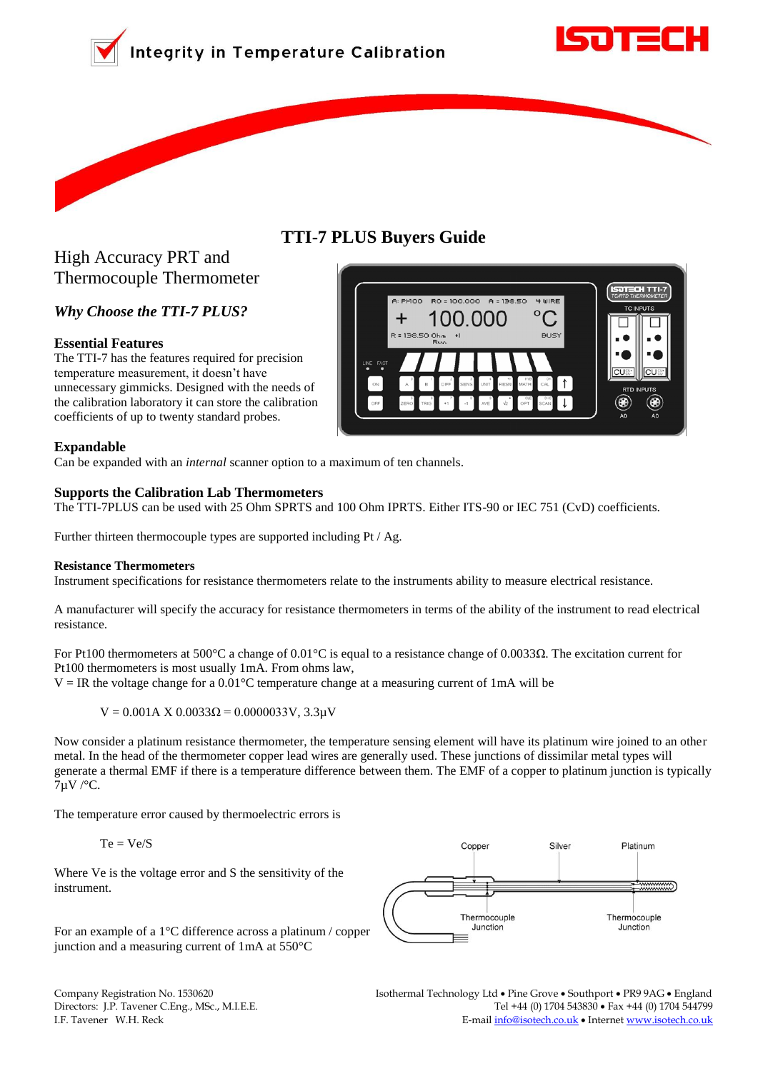



# **TTI-7 PLUS Buyers Guide**



*Why Choose the TTI-7 PLUS?*

# **Essential Features**

The TTI-7 has the features required for precision temperature measurement, it doesn't have unnecessary gimmicks. Designed with the needs of the calibration laboratory it can store the calibration coefficients of up to twenty standard probes.

## **Expandable**

Can be expanded with an *internal* scanner option to a maximum of ten channels.

# **Supports the Calibration Lab Thermometers**

The TTI-7PLUS can be used with 25 Ohm SPRTS and 100 Ohm IPRTS. Either ITS-90 or IEC 751 (CvD) coefficients.

Further thirteen thermocouple types are supported including Pt / Ag.

### **Resistance Thermometers**

Instrument specifications for resistance thermometers relate to the instruments ability to measure electrical resistance.

A manufacturer will specify the accuracy for resistance thermometers in terms of the ability of the instrument to read electrical resistance.

For Pt100 thermometers at 500°C a change of 0.01°C is equal to a resistance change of 0.0033Ω. The excitation current for Pt100 thermometers is most usually 1mA. From ohms law,

 $V = IR$  the voltage change for a 0.01 $^{\circ}$ C temperature change at a measuring current of 1mA will be

 $V = 0.001$ A X 0.0033Ω = 0.0000033V, 3.3μV

Now consider a platinum resistance thermometer, the temperature sensing element will have its platinum wire joined to an other metal. In the head of the thermometer copper lead wires are generally used. These junctions of dissimilar metal types will generate a thermal EMF if there is a temperature difference between them. The EMF of a copper to platinum junction is typically 7µV /°C.

The temperature error caused by thermoelectric errors is

$$
Te=Ve/S
$$

Where Ve is the voltage error and S the sensitivity of the instrument.

For an example of a 1°C difference across a platinum / copper junction and a measuring current of 1mA at 550°C



Company Registration No. 1530620 Isothermal Technology Ltd Pine Grove Southport PR9 9AG England Directors:J.P. Tavener C.Eng., MSc., M.I.E.E. Tel +44 (0) 1704 543830 Fax +44 (0) 1704 544799 I.F. Tavener W.H. Reck **E-mail info@isotech.co.uk • Internet www.isotech.co.uk** 

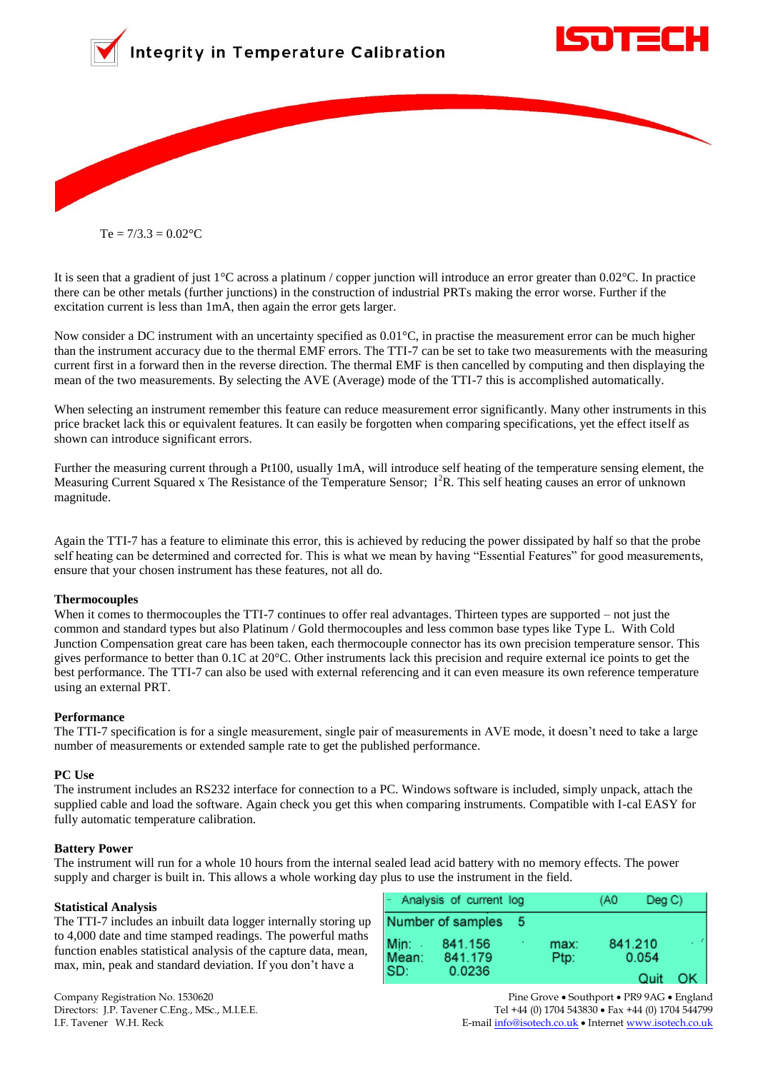

 $Te = 7/3.3 = 0.02$ <sup>o</sup>C

It is seen that a gradient of just 1°C across a platinum / copper junction will introduce an error greater than 0.02°C. In practice there can be other metals (further junctions) in the construction of industrial PRTs making the error worse. Further if the excitation current is less than 1mA, then again the error gets larger.

Now consider a DC instrument with an uncertainty specified as 0.01°C, in practise the measurement error can be much higher than the instrument accuracy due to the thermal EMF errors. The TTI-7 can be set to take two measurements with the measuring current first in a forward then in the reverse direction. The thermal EMF is then cancelled by computing and then displaying the mean of the two measurements. By selecting the AVE (Average) mode of the TTI-7 this is accomplished automatically.

When selecting an instrument remember this feature can reduce measurement error significantly. Many other instruments in this price bracket lack this or equivalent features. It can easily be forgotten when comparing specifications, yet the effect itself as shown can introduce significant errors.

Further the measuring current through a Pt100, usually 1mA, will introduce self heating of the temperature sensing element, the Measuring Current Squared x The Resistance of the Temperature Sensor;  $I^{2}R$ . This self heating causes an error of unknown magnitude.

Again the TTI-7 has a feature to eliminate this error, this is achieved by reducing the power dissipated by half so that the probe self heating can be determined and corrected for. This is what we mean by having "Essential Features" for good measurements, ensure that your chosen instrument has these features, not all do.

#### **Thermocouples**

When it comes to thermocouples the TTI-7 continues to offer real advantages. Thirteen types are supported – not just the common and standard types but also Platinum / Gold thermocouples and less common base types like Type L. With Cold Junction Compensation great care has been taken, each thermocouple connector has its own precision temperature sensor. This gives performance to better than 0.1C at 20°C. Other instruments lack this precision and require external ice points to get the best performance. The TTI-7 can also be used with external referencing and it can even measure its own reference temperature using an external PRT.

#### **Performance**

The TTI-7 specification is for a single measurement, single pair of measurements in AVE mode, it doesn't need to take a large number of measurements or extended sample rate to get the published performance.

#### **PC Use**

The instrument includes an RS232 interface for connection to a PC. Windows software is included, simply unpack, attach the supplied cable and load the software. Again check you get this when comparing instruments. Compatible with I-cal EASY for fully automatic temperature calibration.

#### **Battery Power**

The instrument will run for a whole 10 hours from the internal sealed lead acid battery with no memory effects. The power supply and charger is built in. This allows a whole working day plus to use the instrument in the field.

#### **Statistical Analysis**

The TTI-7 includes an inbuilt data logger internally storing up to 4,000 date and time stamped readings. The powerful maths function enables statistical analysis of the capture data, mean, max, min, peak and standard deviation. If you don't have a

|       | - Analysis of current log |  |      | (A0 | DeqC    |  |
|-------|---------------------------|--|------|-----|---------|--|
|       | Number of samples         |  |      |     |         |  |
| Min:  | 841.156                   |  | max: |     | 841.210 |  |
| Mean: | 841.179                   |  | Ptp: |     | 0.054   |  |
| SD:   | 0.0236                    |  |      |     | Quit    |  |